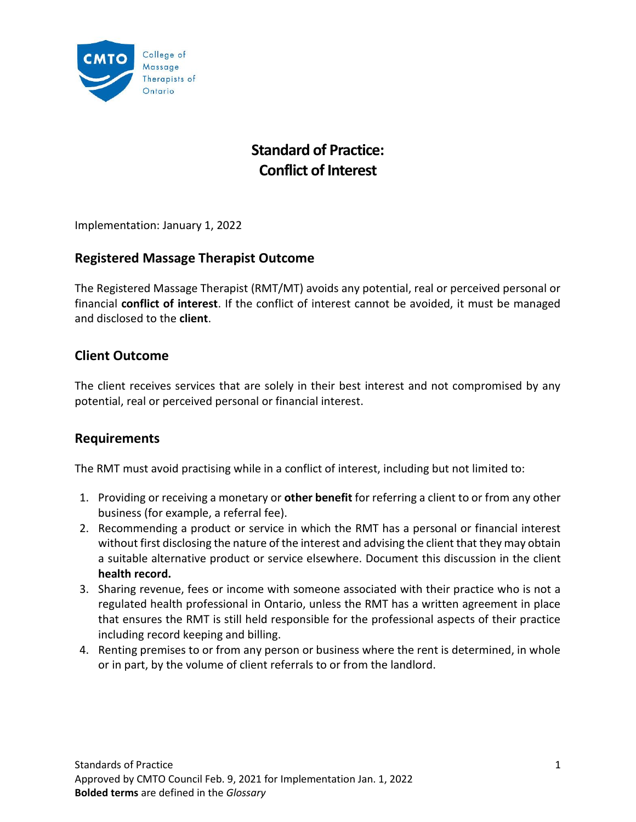

# **Standard of Practice: Conflict of Interest**

Implementation: January 1, 2022

### **Registered Massage Therapist Outcome**

The Registered Massage Therapist (RMT/MT) avoids any potential, real or perceived personal or financial **conflict of interest**. If the conflict of interest cannot be avoided, it must be managed and disclosed to the **client**.

### **Client Outcome**

The client receives services that are solely in their best interest and not compromised by any potential, real or perceived personal or financial interest.

### **Requirements**

The RMT must avoid practising while in a conflict of interest, including but not limited to:

- 1. Providing or receiving a monetary or **other benefit** for referring a client to or from any other business (for example, a referral fee).
- 2. Recommending a product or service in which the RMT has a personal or financial interest without first disclosing the nature of the interest and advising the client that they may obtain a suitable alternative product or service elsewhere. Document this discussion in the client **health record.**
- 3. Sharing revenue, fees or income with someone associated with their practice who is not a regulated health professional in Ontario, unless the RMT has a written agreement in place that ensures the RMT is still held responsible for the professional aspects of their practice including record keeping and billing.
- 4. Renting premises to or from any person or business where the rent is determined, in whole or in part, by the volume of client referrals to or from the landlord.